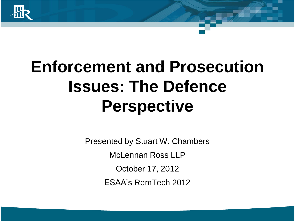

Presented by Stuart W. Chambers McLennan Ross LLP October 17, 2012 ESAA's RemTech 2012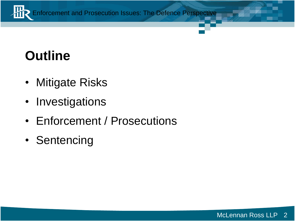

## **Outline**

- Mitigate Risks
- Investigations
- Enforcement / Prosecutions
- Sentencing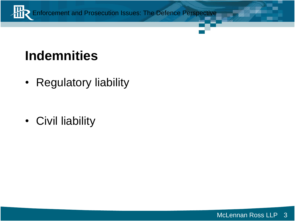

### **Indemnities**

• Regulatory liability

• Civil liability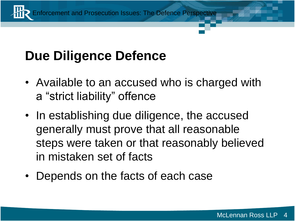# **Due Diligence Defence**

- Available to an accused who is charged with a "strict liability" offence
- In establishing due diligence, the accused generally must prove that all reasonable steps were taken or that reasonably believed in mistaken set of facts
- Depends on the facts of each case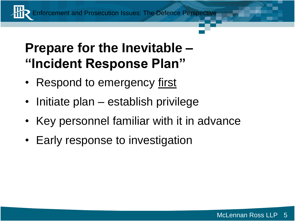### **Prepare for the Inevitable – "Incident Response Plan"**

- Respond to emergency first
- Initiate plan establish privilege
- Key personnel familiar with it in advance
- Early response to investigation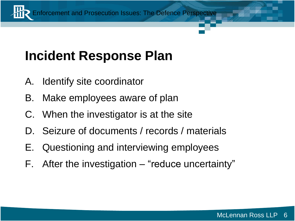## **Incident Response Plan**

- A. Identify site coordinator
- B. Make employees aware of plan
- C. When the investigator is at the site
- D. Seizure of documents / records / materials
- E. Questioning and interviewing employees
- F. After the investigation "reduce uncertainty"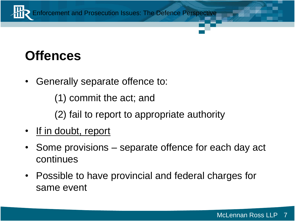

### **Offences**

• Generally separate offence to:

(1) commit the act; and

(2) fail to report to appropriate authority

- If in doubt, report
- Some provisions separate offence for each day act continues
- Possible to have provincial and federal charges for same event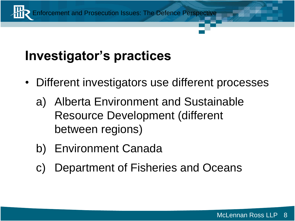

## **Investigator's practices**

- Different investigators use different processes
	- a) Alberta Environment and Sustainable Resource Development (different between regions)
	- b) Environment Canada
	- c) Department of Fisheries and Oceans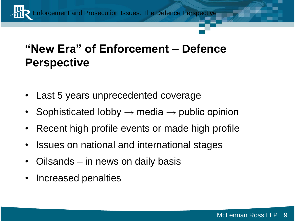#### **"New Era" of Enforcement – Defence Perspective**

- Last 5 years unprecedented coverage
- Sophisticated lobby  $\rightarrow$  media  $\rightarrow$  public opinion
- Recent high profile events or made high profile
- Issues on national and international stages
- Oilsands in news on daily basis
- Increased penalties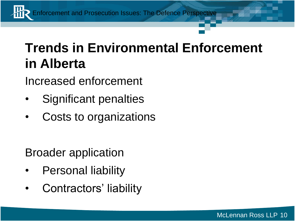# **Trends in Environmental Enforcement in Alberta**

Increased enforcement

- Significant penalties
- Costs to organizations

Broader application

- Personal liability
- Contractors' liability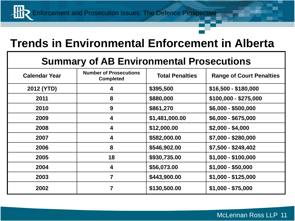#### **Trends in Environmental Enforcement in Alberta**

#### **Summary of AB Environmental Prosecutions**

| <b>Calendar Year</b> | <b>Number of Prosecutions</b><br><b>Completed</b> | <b>Total Penalties</b> | <b>Range of Court Penalties</b> |
|----------------------|---------------------------------------------------|------------------------|---------------------------------|
| 2012 (YTD)           | 4                                                 | \$395,500              | $$16,500 - $180,000$            |
| 2011                 | 8                                                 | \$880,000              | $$100,000 - $275,000$           |
| 2010                 | 9                                                 | \$861,270              | $$6,000 - $500,000$             |
| 2009                 | 4                                                 | \$1,481,000.00         | $$6,000 - $675,000$             |
| 2008                 | 4                                                 | \$12,000.00            | $$2,000 - $4,000$               |
| 2007                 | 4                                                 | \$582,000.00           | \$7,000 - \$280,000             |
| 2006                 | 8                                                 | \$546,902.00           | \$7,500 - \$249,402             |
| 2005                 | 18                                                | \$930,735.00           | $$1,000 - $100,000$             |
| 2004                 | 4                                                 | \$56,073.00            | $$1,000 - $50,000$              |
| 2003                 | 7                                                 | \$443,900.00           | $$1,000 - $125,000$             |
| 2002                 |                                                   | \$130,500.00           | $$1,000 - $75,000$              |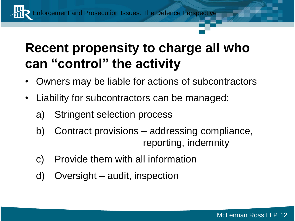### **Recent propensity to charge all who can "control" the activity**

- Owners may be liable for actions of subcontractors
- Liability for subcontractors can be managed:
	- a) Stringent selection process
	- b) Contract provisions addressing compliance, reporting, indemnity
	- c) Provide them with all information
	- d) Oversight audit, inspection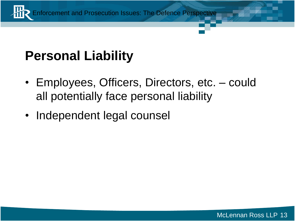

### **Personal Liability**

- Employees, Officers, Directors, etc. could all potentially face personal liability
- Independent legal counsel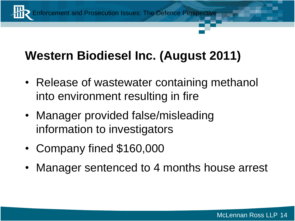

### **Western Biodiesel Inc. (August 2011)**

- Release of wastewater containing methanol into environment resulting in fire
- Manager provided false/misleading information to investigators
- Company fined \$160,000
- Manager sentenced to 4 months house arrest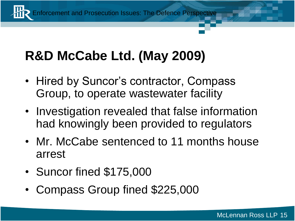# **R&D McCabe Ltd. (May 2009)**

- Hired by Suncor's contractor, Compass Group, to operate wastewater facility
- Investigation revealed that false information had knowingly been provided to regulators
- Mr. McCabe sentenced to 11 months house arrest
- Suncor fined \$175,000
- Compass Group fined \$225,000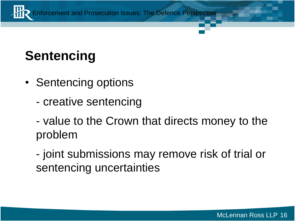

# **Sentencing**

- Sentencing options
	- creative sentencing
	- value to the Crown that directs money to the problem
	- joint submissions may remove risk of trial or sentencing uncertainties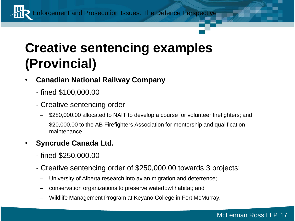### **Creative sentencing examples (Provincial)**

- **Canadian National Railway Company**
	- fined \$100,000.00
	- Creative sentencing order
		- \$280,000.00 allocated to NAIT to develop a course for volunteer firefighters; and
		- \$20,000.00 to the AB Firefighters Association for mentorship and qualification maintenance
- **Syncrude Canada Ltd.**
	- fined \$250,000.00
	- Creative sentencing order of \$250,000.00 towards 3 projects:
		- University of Alberta research into avian migration and deterrence;
		- conservation organizations to preserve waterfowl habitat; and
		- Wildlife Management Program at Keyano College in Fort McMurray.